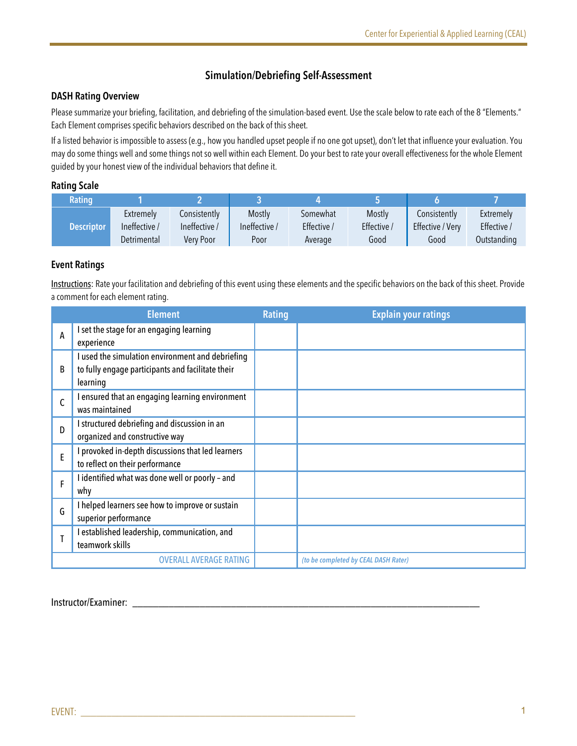# **Simulation/Debriefing Self-Assessment**

# **DASH Rating Overview**

Please summarize your briefing, facilitation, and debriefing of the simulation-based event. Use the scale below to rate each of the 8 "Elements." Each Element comprises specific behaviors described on the back of this sheet.

If a listed behavior is impossible to assess (e.g., how you handled upset people if no one got upset), don't let that influence your evaluation. You may do some things well and some things not so well within each Element. Do your best to rate your overall effectiveness for the whole Element guided by your honest view of the individual behaviors that define it.

# **Rating Scale**

| Rating            |               |               |               |             |           |                  |             |
|-------------------|---------------|---------------|---------------|-------------|-----------|------------------|-------------|
| <b>Descriptor</b> | Extremely     | Consistently  | Mostly        | Somewhat    | Mostly    | Consistently     | Extremely   |
|                   | Ineffective / | Ineffective / | Ineffective / | Effective / | Effective | Effective / Very | Effective / |
|                   | Detrimental   | Verv Poor     | Poor          | Average     | Good      | Good             | Outstanding |

# **Event Ratings**

Instructions: Rate your facilitation and debriefing of this event using these elements and the specific behaviors on the back of this sheet. Provide a comment for each element rating.

|   | <b>Element</b>                                                                                                    | <b>Rating</b> | <b>Explain your ratings</b>          |
|---|-------------------------------------------------------------------------------------------------------------------|---------------|--------------------------------------|
| A | I set the stage for an engaging learning<br>experience                                                            |               |                                      |
| B | I used the simulation environment and debriefing<br>to fully engage participants and facilitate their<br>learning |               |                                      |
| C | I ensured that an engaging learning environment<br>was maintained                                                 |               |                                      |
| D | I structured debriefing and discussion in an<br>organized and constructive way                                    |               |                                      |
| E | I provoked in-depth discussions that led learners<br>to reflect on their performance                              |               |                                      |
| F | I identified what was done well or poorly - and<br>why                                                            |               |                                      |
| G | I helped learners see how to improve or sustain<br>superior performance                                           |               |                                      |
|   | I established leadership, communication, and<br>teamwork skills                                                   |               |                                      |
|   | <b>OVERALL AVERAGE RATING</b>                                                                                     |               | (to be completed by CEAL DASH Rater) |

Instructor/Examiner: \_\_\_\_\_\_\_\_\_\_\_\_\_\_\_\_\_\_\_\_\_\_\_\_\_\_\_\_\_\_\_\_\_\_\_\_\_\_\_\_\_\_\_\_\_\_\_\_\_\_\_\_\_\_\_\_\_\_\_\_\_\_\_\_\_\_\_